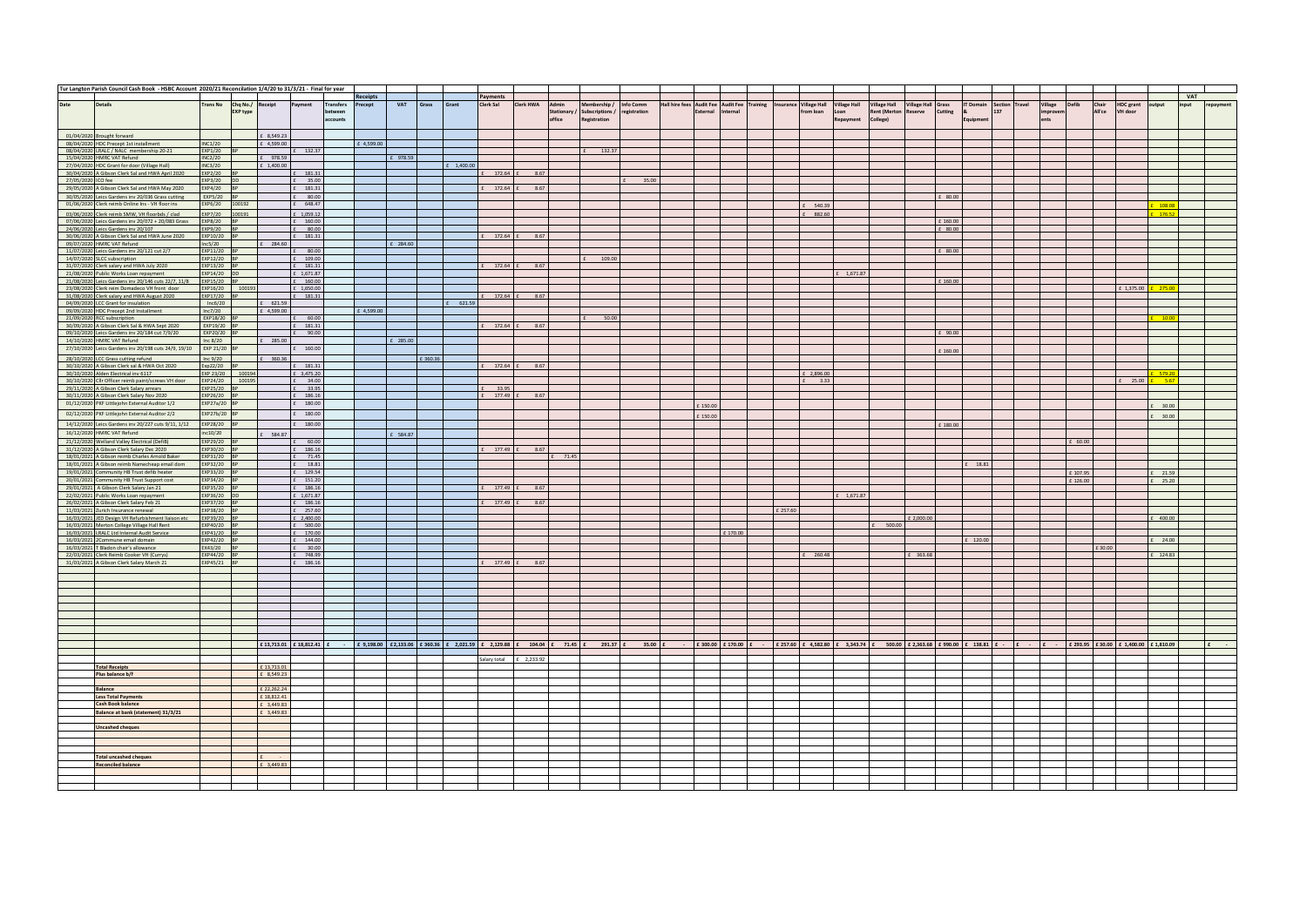|                    | Tur Langton Parish Council Cash Book - HSBC Account 2020/21 Reconcilation 1/4/20 to 31/3/21 - Final for year |                              |                                     |                            |                                    |                     |            |            |          |             |                  |                         |                       |                                                                                                              |                           |                                             |          |          |          |                                    |                             |                                            |                                                                                                                                                                                                                                                                                                                     |                  |                                   |        |                    |          |                 |                                            |             |            |           |
|--------------------|--------------------------------------------------------------------------------------------------------------|------------------------------|-------------------------------------|----------------------------|------------------------------------|---------------------|------------|------------|----------|-------------|------------------|-------------------------|-----------------------|--------------------------------------------------------------------------------------------------------------|---------------------------|---------------------------------------------|----------|----------|----------|------------------------------------|-----------------------------|--------------------------------------------|---------------------------------------------------------------------------------------------------------------------------------------------------------------------------------------------------------------------------------------------------------------------------------------------------------------------|------------------|-----------------------------------|--------|--------------------|----------|-----------------|--------------------------------------------|-------------|------------|-----------|
|                    |                                                                                                              |                              |                                     |                            |                                    |                     | Receipts   |            |          |             | Payments         |                         |                       |                                                                                                              |                           |                                             |          |          |          |                                    |                             |                                            |                                                                                                                                                                                                                                                                                                                     |                  |                                   |        |                    |          |                 |                                            |             | <b>VAT</b> |           |
| Date               | <b>Details</b>                                                                                               | <b>Irans No</b>              | Chq No./ Receipt<br><b>EXP type</b> |                            | Payment                            | Transfers<br>etween | Precept    | VAT        | Grass    | Grant       | Clerk Sal        | <b>Clerk HWA</b>        | Admin<br>Stationary / | Membership /<br>Subscriptions /                                                                              | Info Comm<br>registration | Hall hire fees Audit Fee Audit Fee Training | External | Internal |          | Insurance Village Hall<br>rom loan | <b>Village Hall</b><br>Loan | <b>Village Hall</b><br><b>Rent (Merton</b> | <b>Village Hall Grass</b><br>Cutting<br>teserve                                                                                                                                                                                                                                                                     |                  | <b>T</b> Domain<br>Section<br>137 | Travel | Village<br>improve |          | Chair<br>All'ce | <b>HDC</b> grant<br>VH door                | output      | input      | repayment |
|                    |                                                                                                              |                              |                                     |                            |                                    | ccounts             |            |            |          |             |                  |                         | office                | Registration                                                                                                 |                           |                                             |          |          |          |                                    | Repayment                   | College)                                   |                                                                                                                                                                                                                                                                                                                     |                  | Equipmen                          |        |                    |          |                 |                                            |             |            |           |
|                    |                                                                                                              |                              |                                     |                            |                                    |                     |            |            |          |             |                  |                         |                       |                                                                                                              |                           |                                             |          |          |          |                                    |                             |                                            |                                                                                                                                                                                                                                                                                                                     |                  |                                   |        |                    |          |                 |                                            |             |            |           |
|                    | 01/04/2020 Brought forward                                                                                   |                              |                                     | £ 8,549.23                 |                                    |                     |            |            |          |             |                  |                         |                       |                                                                                                              |                           |                                             |          |          |          |                                    |                             |                                            |                                                                                                                                                                                                                                                                                                                     |                  |                                   |        |                    |          |                 |                                            |             |            |           |
|                    | 08/04/2020 HDC Precept 1st installment                                                                       | <b>INC1/20</b>               |                                     | £ 4599.00                  |                                    |                     | £ 4,599.00 |            |          |             |                  |                         |                       |                                                                                                              |                           |                                             |          |          |          |                                    |                             |                                            |                                                                                                                                                                                                                                                                                                                     |                  |                                   |        |                    |          |                 |                                            |             |            |           |
|                    | 08/04/2020 LRALC / NALC membership 20-21<br>15/04/2020 HMRC VAT Refund                                       | EXP1/20 BF<br><b>INC2/20</b> |                                     | £ 978.59                   | £ 132.37                           |                     |            | £ 978.59   |          |             |                  |                         |                       | £ 132.37                                                                                                     |                           |                                             |          |          |          |                                    |                             |                                            |                                                                                                                                                                                                                                                                                                                     |                  |                                   |        |                    |          |                 |                                            |             |            |           |
|                    | 27/04/2020 HDC Grant for door (Village Hall)                                                                 | INC3/20                      |                                     | £ 1,400.00                 |                                    |                     |            |            |          | $-1,400.00$ |                  |                         |                       |                                                                                                              |                           |                                             |          |          |          |                                    |                             |                                            |                                                                                                                                                                                                                                                                                                                     |                  |                                   |        |                    |          |                 |                                            |             |            |           |
|                    | 30/04/2020 A Gibson Clerk Sal and HWA April 2020                                                             | EXP2/20 BP                   |                                     |                            | $\mathbf{f} = 181.31$              |                     |            |            |          |             | £ 172.64 £       | 8.67                    |                       |                                                                                                              |                           |                                             |          |          |          |                                    |                             |                                            |                                                                                                                                                                                                                                                                                                                     |                  |                                   |        |                    |          |                 |                                            |             |            |           |
| 27/05/2020 ICO fee |                                                                                                              | EXP3/20 DD                   |                                     |                            | £ 35.00                            |                     |            |            |          |             |                  |                         |                       |                                                                                                              | 35.00                     |                                             |          |          |          |                                    |                             |                                            |                                                                                                                                                                                                                                                                                                                     |                  |                                   |        |                    |          |                 |                                            |             |            |           |
|                    | 29/05/2020 A Gibson Clerk Sal and HWA May 2020                                                               | EXP4/20 BP                   |                                     |                            | £ 181.31                           |                     |            |            |          |             | $E = 172.64$ $E$ | 8.67                    |                       |                                                                                                              |                           |                                             |          |          |          |                                    |                             |                                            |                                                                                                                                                                                                                                                                                                                     |                  |                                   |        |                    |          |                 |                                            |             |            |           |
|                    | 30/05/2020 Leics Gardens inv 20/036 Grass cutting                                                            | EXP5/20 BP                   |                                     |                            | $E$ 80.00                          |                     |            |            |          |             |                  |                         |                       |                                                                                                              |                           |                                             |          |          |          |                                    |                             |                                            |                                                                                                                                                                                                                                                                                                                     | $\pounds$ 80.00  |                                   |        |                    |          |                 |                                            |             |            |           |
|                    | 01/06/2020 Clerk reimb Online Ins - VH floor ins                                                             |                              | EXP6/20 100192                      |                            | £ 648.47                           |                     |            |            |          |             |                  |                         |                       |                                                                                                              |                           |                                             |          |          |          | 540.39                             |                             |                                            |                                                                                                                                                                                                                                                                                                                     |                  |                                   |        |                    |          |                 |                                            | 108.0       |            |           |
|                    | 03/06/2020 Clerk reimb SMW, VH floorbds / clad<br>07/06/2020 Leics Gardens inv 20/072 + 20/083 Grass         | EXP8/20 BP                   | EXP7/20 100191                      |                            | £ 1,059.12<br>£ 160.00             |                     |            |            |          |             |                  |                         |                       |                                                                                                              |                           |                                             |          |          |          | 882.60                             |                             |                                            |                                                                                                                                                                                                                                                                                                                     | £ 160.00         |                                   |        |                    |          |                 |                                            | 176.57      |            |           |
|                    | 24/06/2020 Leics Gardens inv 20/107                                                                          | EXP9/20 BP                   |                                     |                            | £ 80.00                            |                     |            |            |          |             |                  |                         |                       |                                                                                                              |                           |                                             |          |          |          |                                    |                             |                                            |                                                                                                                                                                                                                                                                                                                     | $f$ 80.00        |                                   |        |                    |          |                 |                                            |             |            |           |
|                    | 30/06/2020 A Gibson Clerk Sal and HWA June 2020                                                              | EXP10/20 BP                  |                                     |                            | £ 181.31                           |                     |            |            |          |             | 172.64 £         | 8.67                    |                       |                                                                                                              |                           |                                             |          |          |          |                                    |                             |                                            |                                                                                                                                                                                                                                                                                                                     |                  |                                   |        |                    |          |                 |                                            |             |            |           |
|                    | 09/07/2020 HMRC VAT Refund                                                                                   | lnc5/20                      |                                     | £ 284.60                   |                                    |                     |            | £ 284.60   |          |             |                  |                         |                       |                                                                                                              |                           |                                             |          |          |          |                                    |                             |                                            |                                                                                                                                                                                                                                                                                                                     |                  |                                   |        |                    |          |                 |                                            |             |            |           |
|                    | 11/07/2020 Leics Gardens inv 20/121 cut 2/7                                                                  | EXP11/20 BF                  |                                     |                            | $E = 80.00$                        |                     |            |            |          |             |                  |                         |                       |                                                                                                              |                           |                                             |          |          |          |                                    |                             |                                            |                                                                                                                                                                                                                                                                                                                     | $\pounds$ 80.00  |                                   |        |                    |          |                 |                                            |             |            |           |
|                    | 14/07/2020 SLCC subscription                                                                                 | EXP12/20 BP<br>EXP13/20 BP   |                                     |                            | $E = 109.00$<br>£ 181.31           |                     |            |            |          |             | £ 172.64 £       | 8.67                    |                       | 109.00                                                                                                       |                           |                                             |          |          |          |                                    |                             |                                            |                                                                                                                                                                                                                                                                                                                     |                  |                                   |        |                    |          |                 |                                            |             |            |           |
|                    | 31/07/2020 Clerk salary and HWA July 2020<br>21/08/2020 Public Works Loan repayment                          | EXP14/20 DD                  |                                     |                            | £ 1.671.87                         |                     |            |            |          |             |                  |                         |                       |                                                                                                              |                           |                                             |          |          |          |                                    | £ 1.671.87                  |                                            |                                                                                                                                                                                                                                                                                                                     |                  |                                   |        |                    |          |                 |                                            |             |            |           |
|                    | 21/08/2020 Leics Gardens inv 20/146 cuts 22/7, 11/8                                                          | EXP15/20 BP                  |                                     |                            | $E = 160.00$                       |                     |            |            |          |             |                  |                         |                       |                                                                                                              |                           |                                             |          |          |          |                                    |                             |                                            |                                                                                                                                                                                                                                                                                                                     | $\pounds$ 160.00 |                                   |        |                    |          |                 |                                            |             |            |           |
|                    | 23/08/2020 Clerk reim Domadeco VH front door                                                                 |                              | EXP16/20 100193                     |                            | £ 1,650.00                         |                     |            |            |          |             |                  |                         |                       |                                                                                                              |                           |                                             |          |          |          |                                    |                             |                                            |                                                                                                                                                                                                                                                                                                                     |                  |                                   |        |                    |          |                 | £ 1,375.00 £ 275.00                        |             |            |           |
|                    | 31/08/2020 Clerk salary and HWA August 2020                                                                  | EXP17/20 BP                  |                                     |                            | £ 181.31                           |                     |            |            |          |             | $E$ 172.64 $E$   | 8.67                    |                       |                                                                                                              |                           |                                             |          |          |          |                                    |                             |                                            |                                                                                                                                                                                                                                                                                                                     |                  |                                   |        |                    |          |                 |                                            |             |            |           |
|                    | 04/09/2020 LCC Grant for insulation                                                                          | Inc6/20                      |                                     | $E = 621.59$               |                                    |                     | £ 4,599.00 |            |          | £ 621.59    |                  |                         |                       |                                                                                                              |                           |                                             |          |          |          |                                    |                             |                                            |                                                                                                                                                                                                                                                                                                                     |                  |                                   |        |                    |          |                 |                                            |             |            |           |
|                    | 09/09/2020 HDC Precept 2nd Installment<br>21/09/2020 RCC subscription                                        | Inc7/20<br>EXP18/20 B        |                                     | £ 4.599.00                 | $f = 60.00$                        |                     |            |            |          |             |                  |                         |                       | 50.00                                                                                                        |                           |                                             |          |          |          |                                    |                             |                                            |                                                                                                                                                                                                                                                                                                                     |                  |                                   |        |                    |          |                 |                                            | $-100$      |            |           |
|                    | 30/09/2020 A Gibson Clerk Sal & HWA Sept 2020                                                                | EXP19/20 BP                  |                                     |                            | £ 181.31                           |                     |            |            |          |             | £ 172.64 £       | 8.67                    |                       |                                                                                                              |                           |                                             |          |          |          |                                    |                             |                                            |                                                                                                                                                                                                                                                                                                                     |                  |                                   |        |                    |          |                 |                                            |             |            |           |
|                    | 09/10/2020 Leics Gardens inv 20/184 cut 7/9/20                                                               | EXP20/20 BP                  |                                     |                            | $£$ 90.00                          |                     |            |            |          |             |                  |                         |                       |                                                                                                              |                           |                                             |          |          |          |                                    |                             |                                            |                                                                                                                                                                                                                                                                                                                     | £ 90.00          |                                   |        |                    |          |                 |                                            |             |            |           |
|                    | 14/10/2020 HMRC VAT Refund                                                                                   | Inc 8/20                     |                                     | $E = 285.00$               |                                    |                     |            | $£$ 285.00 |          |             |                  |                         |                       |                                                                                                              |                           |                                             |          |          |          |                                    |                             |                                            |                                                                                                                                                                                                                                                                                                                     |                  |                                   |        |                    |          |                 |                                            |             |            |           |
|                    | 27/10/2020 Leics Gardens inv 20/198 cuts 24/9, 19/10                                                         | EXP 21/20                    |                                     |                            | £ 160.00                           |                     |            |            |          |             |                  |                         |                       |                                                                                                              |                           |                                             |          |          |          |                                    |                             |                                            |                                                                                                                                                                                                                                                                                                                     | £ 160.00         |                                   |        |                    |          |                 |                                            |             |            |           |
|                    | 28/10/2020 LCC Grass cutting refund                                                                          | Inc 9/20                     |                                     | £ 360.36                   |                                    |                     |            |            | £ 360.36 |             |                  |                         |                       |                                                                                                              |                           |                                             |          |          |          |                                    |                             |                                            |                                                                                                                                                                                                                                                                                                                     |                  |                                   |        |                    |          |                 |                                            |             |            |           |
|                    | 30/10/2020 A Gibson Clerk sal & HWA Oct 2020                                                                 | Exp22/20 BP                  |                                     |                            | £ 181.31                           |                     |            |            |          |             | £ 172.64 £       | 8.67                    |                       |                                                                                                              |                           |                                             |          |          |          |                                    |                             |                                            |                                                                                                                                                                                                                                                                                                                     |                  |                                   |        |                    |          |                 |                                            |             |            |           |
|                    | 30/10/2020 Alden Electrical inv 6117                                                                         |                              | EXP 23/20 100194                    |                            | £ 3,475.20                         |                     |            |            |          |             |                  |                         |                       |                                                                                                              |                           |                                             |          |          |          | £ 2.896.00                         |                             |                                            |                                                                                                                                                                                                                                                                                                                     |                  |                                   |        |                    |          |                 |                                            |             |            |           |
|                    | 30/10/2020 Cllr Officer reimb paint/screws VH door<br>29/11/2020 A Gibson Clerk Salary arrears               | EXP25/20 BF                  | EXP24/20 100195                     |                            | $E = 34.00$<br>$E$ 33.95           |                     |            |            |          |             | 33.95            |                         |                       |                                                                                                              |                           |                                             |          |          |          | $E = 3.33$                         |                             |                                            |                                                                                                                                                                                                                                                                                                                     |                  |                                   |        |                    |          |                 | £ 25.00 <mark>£ 5.67</mark>                |             |            |           |
|                    | 30/11/2020 A Gibson Clerk Salary Nov 2020                                                                    | EXP26/20 BP                  |                                     |                            | £ 186.16                           |                     |            |            |          |             | £ 177.49 i       | 8.67                    |                       |                                                                                                              |                           |                                             |          |          |          |                                    |                             |                                            |                                                                                                                                                                                                                                                                                                                     |                  |                                   |        |                    |          |                 |                                            |             |            |           |
|                    | 01/12/2020 PKF Littlejohn External Auditor 1/2                                                               | EXP27a/20 BP                 |                                     |                            | £ 180.00                           |                     |            |            |          |             |                  |                         |                       |                                                                                                              |                           |                                             | 150.00   |          |          |                                    |                             |                                            |                                                                                                                                                                                                                                                                                                                     |                  |                                   |        |                    |          |                 |                                            | 30.00       |            |           |
|                    | 02/12/2020 PKF Littlejohn External Auditor 2/2                                                               | EXP27b/20 BP                 |                                     |                            | $\ensuremath{\mathbb{E}}\,$ 180.00 |                     |            |            |          |             |                  |                         |                       |                                                                                                              |                           |                                             |          |          |          |                                    |                             |                                            |                                                                                                                                                                                                                                                                                                                     |                  |                                   |        |                    |          |                 |                                            |             |            |           |
|                    | 14/12/2020 Leics Gardens inv 20/227 cuts 9/11, 1/12                                                          | EXP28/20 BP                  |                                     |                            | $£$ 180.00                         |                     |            |            |          |             |                  |                         |                       |                                                                                                              |                           |                                             | £ 150.00 |          |          |                                    |                             |                                            |                                                                                                                                                                                                                                                                                                                     |                  |                                   |        |                    |          |                 |                                            | 30.00       |            |           |
|                    | 16/12/2020 HMRC VAT Refund                                                                                   | inc10/20                     |                                     | £ 584.87                   |                                    |                     |            | £ 584.87   |          |             |                  |                         |                       |                                                                                                              |                           |                                             |          |          |          |                                    |                             |                                            |                                                                                                                                                                                                                                                                                                                     | £ 180.00         |                                   |        |                    |          |                 |                                            |             |            |           |
|                    | 21/12/2020 Welland Valley Electrical (DefiB)                                                                 | EXP29/20 BP                  |                                     |                            | £ 60.00                            |                     |            |            |          |             |                  |                         |                       |                                                                                                              |                           |                                             |          |          |          |                                    |                             |                                            |                                                                                                                                                                                                                                                                                                                     |                  |                                   |        |                    | £ 60.00  |                 |                                            |             |            |           |
|                    | 31/12/2020 A Gibson Clerk Salary Dec 2020                                                                    | EXP30/20 BP                  |                                     |                            | £ 186.16                           |                     |            |            |          |             | $E = 177.49 E$   | 8.67                    |                       |                                                                                                              |                           |                                             |          |          |          |                                    |                             |                                            |                                                                                                                                                                                                                                                                                                                     |                  |                                   |        |                    |          |                 |                                            |             |            |           |
|                    | 18/01/2021 A Gibson reimb Charles Arnold Baker                                                               | EXP31/20 BP                  |                                     |                            | $E$ 71.45                          |                     |            |            |          |             |                  |                         | 71.45                 |                                                                                                              |                           |                                             |          |          |          |                                    |                             |                                            |                                                                                                                                                                                                                                                                                                                     |                  |                                   |        |                    |          |                 |                                            |             |            |           |
|                    | 18/01/2021 A Gibson reimb Namecheap email dom                                                                | EXP32/20 BP                  |                                     |                            | $E = 18.81$                        |                     |            |            |          |             |                  |                         |                       |                                                                                                              |                           |                                             |          |          |          |                                    |                             |                                            |                                                                                                                                                                                                                                                                                                                     |                  | 18.81                             |        |                    |          |                 |                                            |             |            |           |
|                    | 19/01/2021 Community HB Trust defib heater                                                                   | EXP33/20 BP                  |                                     |                            | £ 129.54                           |                     |            |            |          |             |                  |                         |                       |                                                                                                              |                           |                                             |          |          |          |                                    |                             |                                            |                                                                                                                                                                                                                                                                                                                     |                  |                                   |        |                    | £ 107.95 |                 |                                            | 21.59       |            |           |
|                    | 20/01/2021 Community HB Trust Support cost                                                                   | EXP34/20 BP                  |                                     |                            | $E = 151.20$                       |                     |            |            |          |             |                  |                         |                       |                                                                                                              |                           |                                             |          |          |          |                                    |                             |                                            |                                                                                                                                                                                                                                                                                                                     |                  |                                   |        |                    | £ 126.00 |                 |                                            | $E = 25.20$ |            |           |
|                    | 29/01/2021 A Gibson Clerk Salary Jan 21<br>22/02/2021 Public Works Loan repayment                            | EXP35/20 BP<br>EXP36/20 DD   |                                     |                            | £ 186.16<br>£ 1.671.87             |                     |            |            |          |             | $E = 177.49$     | 8.67                    |                       |                                                                                                              |                           |                                             |          |          |          |                                    | £ 1,671.87                  |                                            |                                                                                                                                                                                                                                                                                                                     |                  |                                   |        |                    |          |                 |                                            |             |            |           |
|                    | 26/02/2021 A Gibson Clerk Salary Feb 21                                                                      | EXP37/20 BP                  |                                     |                            | £ 186.16                           |                     |            |            |          |             | £ 177.49 £       | 8.67                    |                       |                                                                                                              |                           |                                             |          |          |          |                                    |                             |                                            |                                                                                                                                                                                                                                                                                                                     |                  |                                   |        |                    |          |                 |                                            |             |            |           |
|                    | 11/03/2021 Zurich Insurance renewal                                                                          | EXP38/20 BP                  |                                     |                            | £ 257.60                           |                     |            |            |          |             |                  |                         |                       |                                                                                                              |                           |                                             |          |          | £ 257.60 |                                    |                             |                                            |                                                                                                                                                                                                                                                                                                                     |                  |                                   |        |                    |          |                 |                                            |             |            |           |
|                    | 16/03/2021 JED Design VH Refurbishment liaison etc                                                           | EXP39/20 BP                  |                                     |                            | £ 2,400.00                         |                     |            |            |          |             |                  |                         |                       |                                                                                                              |                           |                                             |          |          |          |                                    |                             |                                            | £ 2,000.00                                                                                                                                                                                                                                                                                                          |                  |                                   |        |                    |          |                 |                                            | 400.00      |            |           |
|                    | 16/03/2021 Merton College Village Hall Rent                                                                  | EXP40/20 BP                  |                                     |                            | $\pounds$ 500.00                   |                     |            |            |          |             |                  |                         |                       |                                                                                                              |                           |                                             |          |          |          |                                    |                             | $£$ 500.00                                 |                                                                                                                                                                                                                                                                                                                     |                  |                                   |        |                    |          |                 |                                            |             |            |           |
|                    | 16/03/2021 LRALC Ltd Internal Audit Service                                                                  | EXP41/20 BP<br>EXP42/20 BP   |                                     |                            | £ 170.00<br>£ 144.00               |                     |            |            |          |             |                  |                         |                       |                                                                                                              |                           |                                             |          | £170.00  |          |                                    |                             |                                            |                                                                                                                                                                                                                                                                                                                     |                  | £ 120.00                          |        |                    |          |                 |                                            | 24.00       |            |           |
|                    | 16/03/2021 2Commune email domain<br>16/03/2021 T Bladon chair's allowance                                    | EX43/20 BP                   |                                     |                            | £ 30.00                            |                     |            |            |          |             |                  |                         |                       |                                                                                                              |                           |                                             |          |          |          |                                    |                             |                                            |                                                                                                                                                                                                                                                                                                                     |                  |                                   |        |                    |          | £30.00          |                                            |             |            |           |
|                    | 22/03/2021 Clerk Reimb Cooker VH (Currys)                                                                    | EXP44/20 BP                  |                                     |                            | £ 748.99                           |                     |            |            |          |             |                  |                         |                       |                                                                                                              |                           |                                             |          |          |          | 260.48                             |                             |                                            | 363.68                                                                                                                                                                                                                                                                                                              |                  |                                   |        |                    |          |                 |                                            | 124.83      |            |           |
|                    | 31/03/2021 A Gibson Clerk Salary March 21                                                                    | EXP45/21 BP                  |                                     |                            | $E = 186.16$                       |                     |            |            |          |             | $E = 177.49 E$   | 8.67                    |                       |                                                                                                              |                           |                                             |          |          |          |                                    |                             |                                            |                                                                                                                                                                                                                                                                                                                     |                  |                                   |        |                    |          |                 |                                            |             |            |           |
|                    |                                                                                                              |                              |                                     |                            |                                    |                     |            |            |          |             |                  |                         |                       |                                                                                                              |                           |                                             |          |          |          |                                    |                             |                                            |                                                                                                                                                                                                                                                                                                                     |                  |                                   |        |                    |          |                 |                                            |             |            |           |
|                    |                                                                                                              |                              |                                     |                            |                                    |                     |            |            |          |             |                  |                         |                       |                                                                                                              |                           |                                             |          |          |          |                                    |                             |                                            |                                                                                                                                                                                                                                                                                                                     |                  |                                   |        |                    |          |                 |                                            |             |            |           |
|                    |                                                                                                              |                              |                                     |                            |                                    |                     |            |            |          |             |                  |                         |                       |                                                                                                              |                           |                                             |          |          |          |                                    |                             |                                            |                                                                                                                                                                                                                                                                                                                     |                  |                                   |        |                    |          |                 |                                            |             |            |           |
|                    |                                                                                                              |                              |                                     |                            |                                    |                     |            |            |          |             |                  |                         |                       |                                                                                                              |                           |                                             |          |          |          |                                    |                             |                                            |                                                                                                                                                                                                                                                                                                                     |                  |                                   |        |                    |          |                 |                                            |             |            |           |
|                    |                                                                                                              |                              |                                     |                            |                                    |                     |            |            |          |             |                  |                         |                       |                                                                                                              |                           |                                             |          |          |          |                                    |                             |                                            |                                                                                                                                                                                                                                                                                                                     |                  |                                   |        |                    |          |                 |                                            |             |            |           |
|                    |                                                                                                              |                              |                                     |                            |                                    |                     |            |            |          |             |                  |                         |                       |                                                                                                              |                           |                                             |          |          |          |                                    |                             |                                            |                                                                                                                                                                                                                                                                                                                     |                  |                                   |        |                    |          |                 |                                            |             |            |           |
|                    |                                                                                                              |                              |                                     |                            |                                    |                     |            |            |          |             |                  |                         |                       |                                                                                                              |                           |                                             |          |          |          |                                    |                             |                                            |                                                                                                                                                                                                                                                                                                                     |                  |                                   |        |                    |          |                 |                                            |             |            |           |
|                    |                                                                                                              |                              |                                     |                            |                                    |                     |            |            |          |             |                  |                         |                       |                                                                                                              |                           |                                             |          |          |          |                                    |                             |                                            |                                                                                                                                                                                                                                                                                                                     |                  |                                   |        |                    |          |                 |                                            |             |            |           |
|                    |                                                                                                              |                              |                                     |                            | £13,713.01 £18,812.41 £            |                     |            |            |          |             |                  |                         |                       | $E$ 9,198.00 $E$ 2,133.06 $E$ 360.36 $E$ 2,021.59 $E$ 2,129.88 $E$ 104.04 $E$ 71.45 $E$ 291.37 $E$ 35.00 $E$ |                           |                                             |          |          |          |                                    |                             |                                            | $\frac{1}{2}$ $\frac{1}{2}$ $\frac{1}{2}$ $\frac{3}{2}$ $\frac{1}{2}$ $\frac{1}{2}$ $\frac{1}{2}$ $\frac{1}{2}$ $\frac{1}{2}$ $\frac{1}{2}$ $\frac{1}{2}$ $\frac{1}{2}$ $\frac{1}{2}$ $\frac{1}{2}$ $\frac{1}{2}$ $\frac{1}{2}$ $\frac{1}{2}$ $\frac{1}{2}$ $\frac{1}{2}$ $\frac{1}{2}$ $\frac{1}{2}$ $\frac{1}{2}$ |                  |                                   |        |                    |          |                 | E - E 293.95 E 30.00 E 1,400.00 E 1,810.09 |             |            |           |
|                    |                                                                                                              |                              |                                     |                            |                                    |                     |            |            |          |             |                  |                         |                       |                                                                                                              |                           |                                             |          |          |          |                                    |                             |                                            |                                                                                                                                                                                                                                                                                                                     |                  |                                   |        |                    |          |                 |                                            |             |            |           |
|                    |                                                                                                              |                              |                                     |                            |                                    |                     |            |            |          |             |                  | Salary total £ 2,233.92 |                       |                                                                                                              |                           |                                             |          |          |          |                                    |                             |                                            |                                                                                                                                                                                                                                                                                                                     |                  |                                   |        |                    |          |                 |                                            |             |            |           |
|                    | <b>Total Receipts</b><br>Plus balance b/f                                                                    |                              |                                     | £13,713.01<br>$E$ 8,549.23 |                                    |                     |            |            |          |             |                  |                         |                       |                                                                                                              |                           |                                             |          |          |          |                                    |                             |                                            |                                                                                                                                                                                                                                                                                                                     |                  |                                   |        |                    |          |                 |                                            |             |            |           |
|                    |                                                                                                              |                              |                                     |                            |                                    |                     |            |            |          |             |                  |                         |                       |                                                                                                              |                           |                                             |          |          |          |                                    |                             |                                            |                                                                                                                                                                                                                                                                                                                     |                  |                                   |        |                    |          |                 |                                            |             |            |           |
|                    | <b>Balance</b>                                                                                               |                              |                                     | £ 22,262.24                |                                    |                     |            |            |          |             |                  |                         |                       |                                                                                                              |                           |                                             |          |          |          |                                    |                             |                                            |                                                                                                                                                                                                                                                                                                                     |                  |                                   |        |                    |          |                 |                                            |             |            |           |
|                    | <b>Less Total Payments</b>                                                                                   |                              |                                     | £18,812.41                 |                                    |                     |            |            |          |             |                  |                         |                       |                                                                                                              |                           |                                             |          |          |          |                                    |                             |                                            |                                                                                                                                                                                                                                                                                                                     |                  |                                   |        |                    |          |                 |                                            |             |            |           |
|                    | Cash Book balance                                                                                            |                              |                                     | £ 3,449.83                 |                                    |                     |            |            |          |             |                  |                         |                       |                                                                                                              |                           |                                             |          |          |          |                                    |                             |                                            |                                                                                                                                                                                                                                                                                                                     |                  |                                   |        |                    |          |                 |                                            |             |            |           |
|                    | Balance at bank (statement) 31/3/21                                                                          |                              |                                     | £ 3,449.83                 |                                    |                     |            |            |          |             |                  |                         |                       |                                                                                                              |                           |                                             |          |          |          |                                    |                             |                                            |                                                                                                                                                                                                                                                                                                                     |                  |                                   |        |                    |          |                 |                                            |             |            |           |
|                    | <b>Uncashed cheques</b>                                                                                      |                              |                                     |                            |                                    |                     |            |            |          |             |                  |                         |                       |                                                                                                              |                           |                                             |          |          |          |                                    |                             |                                            |                                                                                                                                                                                                                                                                                                                     |                  |                                   |        |                    |          |                 |                                            |             |            |           |
|                    |                                                                                                              |                              |                                     |                            |                                    |                     |            |            |          |             |                  |                         |                       |                                                                                                              |                           |                                             |          |          |          |                                    |                             |                                            |                                                                                                                                                                                                                                                                                                                     |                  |                                   |        |                    |          |                 |                                            |             |            |           |
|                    |                                                                                                              |                              |                                     |                            |                                    |                     |            |            |          |             |                  |                         |                       |                                                                                                              |                           |                                             |          |          |          |                                    |                             |                                            |                                                                                                                                                                                                                                                                                                                     |                  |                                   |        |                    |          |                 |                                            |             |            |           |
|                    |                                                                                                              |                              |                                     |                            |                                    |                     |            |            |          |             |                  |                         |                       |                                                                                                              |                           |                                             |          |          |          |                                    |                             |                                            |                                                                                                                                                                                                                                                                                                                     |                  |                                   |        |                    |          |                 |                                            |             |            |           |
|                    | <b>Total uncashed cheques</b>                                                                                |                              |                                     |                            |                                    |                     |            |            |          |             |                  |                         |                       |                                                                                                              |                           |                                             |          |          |          |                                    |                             |                                            |                                                                                                                                                                                                                                                                                                                     |                  |                                   |        |                    |          |                 |                                            |             |            |           |
|                    | <b>Reconciled balance</b>                                                                                    |                              |                                     | £ 3,449.83                 |                                    |                     |            |            |          |             |                  |                         |                       |                                                                                                              |                           |                                             |          |          |          |                                    |                             |                                            |                                                                                                                                                                                                                                                                                                                     |                  |                                   |        |                    |          |                 |                                            |             |            |           |
|                    |                                                                                                              |                              |                                     |                            |                                    |                     |            |            |          |             |                  |                         |                       |                                                                                                              |                           |                                             |          |          |          |                                    |                             |                                            |                                                                                                                                                                                                                                                                                                                     |                  |                                   |        |                    |          |                 |                                            |             |            |           |
|                    |                                                                                                              |                              |                                     |                            |                                    |                     |            |            |          |             |                  |                         |                       |                                                                                                              |                           |                                             |          |          |          |                                    |                             |                                            |                                                                                                                                                                                                                                                                                                                     |                  |                                   |        |                    |          |                 |                                            |             |            |           |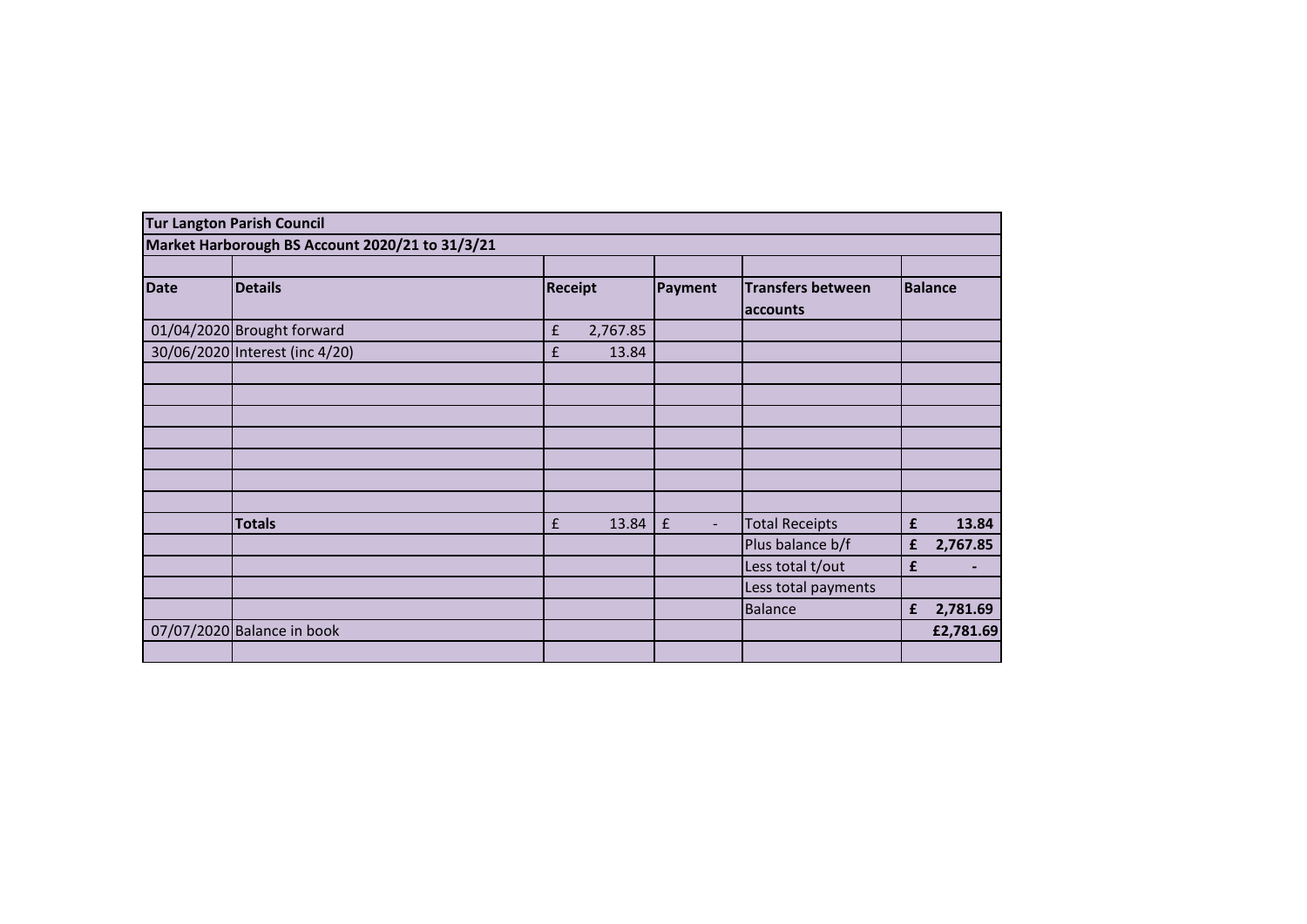|             | <b>Tur Langton Parish Council</b>               |                                |                                      |                                      |                |
|-------------|-------------------------------------------------|--------------------------------|--------------------------------------|--------------------------------------|----------------|
|             | Market Harborough BS Account 2020/21 to 31/3/21 |                                |                                      |                                      |                |
|             |                                                 |                                |                                      |                                      |                |
| <b>Date</b> | <b>Details</b>                                  | <b>Receipt</b>                 | Payment                              | <b>Transfers between</b><br>accounts | <b>Balance</b> |
|             | 01/04/2020 Brought forward                      | $\pmb{\mathsf{f}}$<br>2,767.85 |                                      |                                      |                |
|             | 30/06/2020 Interest (inc 4/20)                  | £<br>13.84                     |                                      |                                      |                |
|             |                                                 |                                |                                      |                                      |                |
|             |                                                 |                                |                                      |                                      |                |
|             |                                                 |                                |                                      |                                      |                |
|             |                                                 |                                |                                      |                                      |                |
|             |                                                 |                                |                                      |                                      |                |
|             |                                                 |                                |                                      |                                      |                |
|             |                                                 |                                |                                      |                                      |                |
|             | <b>Totals</b>                                   | 13.84<br>£                     | $\pmb{\mathsf{f}}$<br>$\blacksquare$ | <b>Total Receipts</b>                | 13.84<br>£     |
|             |                                                 |                                |                                      | Plus balance b/f                     | 2,767.85<br>£  |
|             |                                                 |                                |                                      | Less total t/out                     | £              |
|             |                                                 |                                |                                      | Less total payments                  |                |
|             |                                                 |                                |                                      | Balance                              | 2,781.69<br>£  |
|             | 07/07/2020 Balance in book                      |                                |                                      |                                      | £2,781.69      |
|             |                                                 |                                |                                      |                                      |                |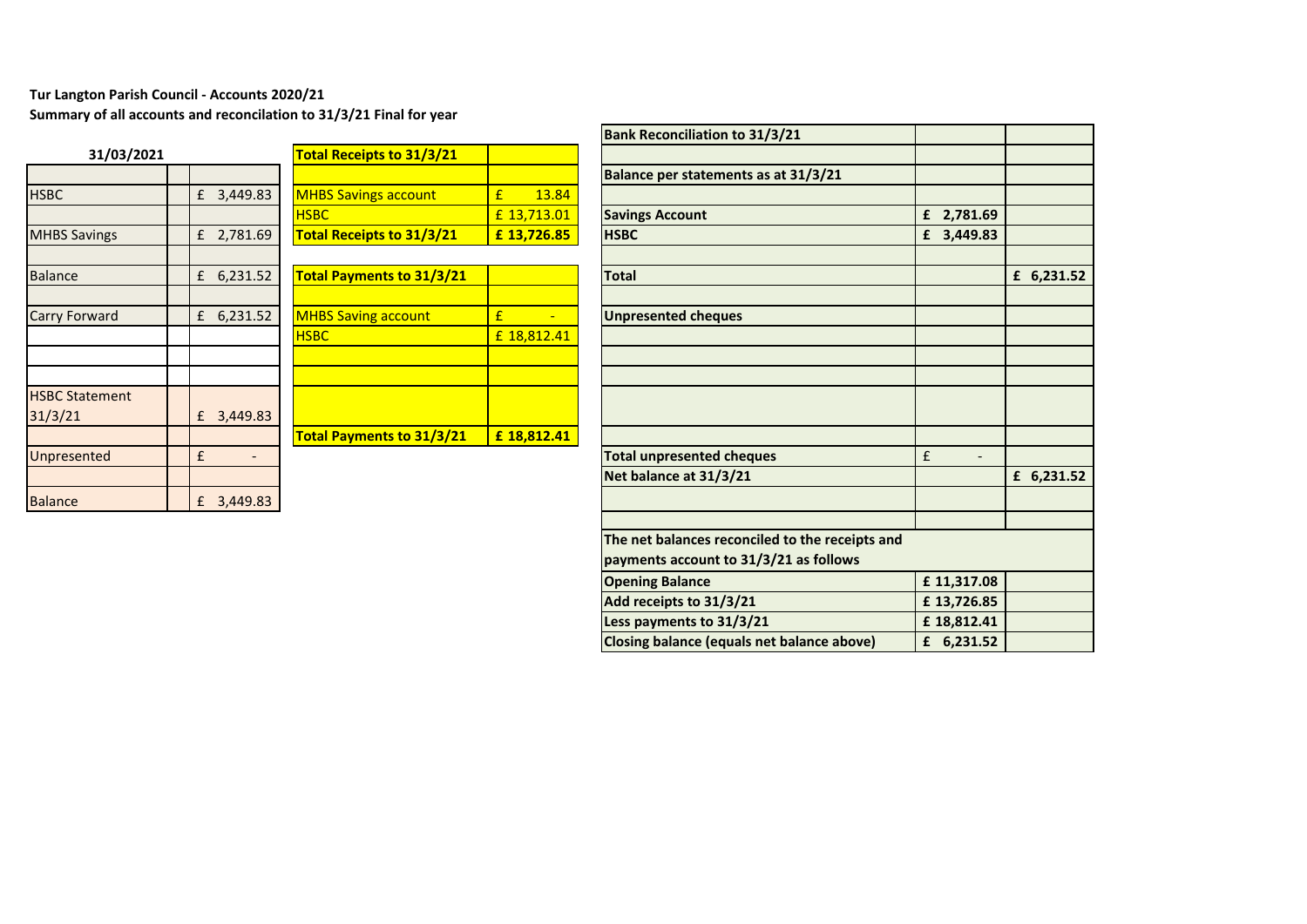## **Tur Langton Parish Council - Accounts 2020/21**

**Summary of all accounts and reconcilation to 31/3/21 Final for year**

| 31/03/2021            |   |          |   |
|-----------------------|---|----------|---|
|                       |   |          |   |
| <b>HSBC</b>           | £ | 3,449.83 | ľ |
|                       |   |          | ł |
| <b>MHBS Savings</b>   | £ | 2,781.69 |   |
|                       |   |          |   |
| <b>Balance</b>        | £ | 6,231.52 |   |
|                       |   |          |   |
| <b>Carry Forward</b>  | £ | 6,231.52 | ľ |
|                       |   |          | ŀ |
|                       |   |          |   |
|                       |   |          |   |
| <b>HSBC Statement</b> |   |          |   |
| 31/3/21               | £ | 3,449.83 |   |
|                       |   |          | ī |
| Unpresented           | £ |          |   |
|                       |   |          |   |
| <b>Balance</b>        | £ | 3,449.83 |   |

|                       |   |          |                                  |             | הסווג ווכנטוונווופנוטוו נג  |
|-----------------------|---|----------|----------------------------------|-------------|-----------------------------|
| 31/03/2021            |   |          | <b>Total Receipts to 31/3/21</b> |             |                             |
|                       |   |          |                                  |             | <b>Balance per statemen</b> |
| <b>HSBC</b>           | £ | 3,449.83 | <b>MHBS Savings account</b>      | £<br>13.84  |                             |
|                       |   |          | <b>HSBC</b>                      | £ 13,713.01 | <b>Savings Account</b>      |
| <b>MHBS Savings</b>   | £ | 2,781.69 | <b>Total Receipts to 31/3/21</b> | £13,726.85  | <b>HSBC</b>                 |
|                       |   |          |                                  |             |                             |
| <b>Balance</b>        | £ | 6,231.52 | <b>Total Payments to 31/3/21</b> |             | <b>Total</b>                |
|                       |   |          |                                  |             |                             |
| Carry Forward         | £ | 6,231.52 | <b>MHBS Saving account</b>       | £           | <b>Unpresented cheques</b>  |
|                       |   |          | <b>HSBC</b>                      | £ 18,812.41 |                             |
|                       |   |          |                                  |             |                             |
|                       |   |          |                                  |             |                             |
| <b>HSBC Statement</b> |   |          |                                  |             |                             |
| 31/3/21               | £ | 3,449.83 |                                  |             |                             |
|                       |   |          | <b>Total Payments to 31/3/21</b> | £18,812.41  |                             |
| <b>Unpresented</b>    | £ |          |                                  |             | Total unpresented che       |
|                       |   |          |                                  |             | Net balance at 31/3/2       |
| <b>Balance</b>        | £ | 3,449.83 |                                  |             |                             |
|                       |   |          |                                  |             |                             |

|                                  |              |                                  |             | <b>Bank Reconciliation to 31/3/21</b>                                                     |                               |            |
|----------------------------------|--------------|----------------------------------|-------------|-------------------------------------------------------------------------------------------|-------------------------------|------------|
| 31/03/2021                       |              | <b>Total Receipts to 31/3/21</b> |             |                                                                                           |                               |            |
|                                  |              |                                  |             | Balance per statements as at 31/3/21                                                      |                               |            |
| <b>HSBC</b>                      | £ 3,449.83   | <b>MHBS Savings account</b>      | 13.84<br>£  |                                                                                           |                               |            |
|                                  |              | <b>HSBC</b>                      | £ 13,713.01 | <b>Savings Account</b>                                                                    | £ 2,781.69                    |            |
| <b>MHBS Savings</b>              | £ 2,781.69   | <b>Total Receipts to 31/3/21</b> | £13,726.85  | <b>HSBC</b>                                                                               | £ 3,449.83                    |            |
| <b>Balance</b>                   | £ 6,231.52   | <b>Total Payments to 31/3/21</b> |             | <b>Total</b>                                                                              |                               | £ 6,231.52 |
| Carry Forward                    | £ $6,231.52$ | <b>MHBS Saving account</b>       | £           | <b>Unpresented cheques</b>                                                                |                               |            |
|                                  |              | <b>HSBC</b>                      | £ 18,812.41 |                                                                                           |                               |            |
|                                  |              |                                  |             |                                                                                           |                               |            |
| <b>HSBC Statement</b><br>31/3/21 | £ 3,449.83   |                                  |             |                                                                                           |                               |            |
|                                  |              | <b>Total Payments to 31/3/21</b> | £ 18,812.41 |                                                                                           |                               |            |
| Unpresented                      | £            |                                  |             | <b>Total unpresented cheques</b>                                                          | £<br>$\overline{\phantom{a}}$ |            |
|                                  |              |                                  |             | Net balance at 31/3/21                                                                    |                               | £ 6,231.52 |
| <b>Balance</b>                   | £ 3,449.83   |                                  |             |                                                                                           |                               |            |
|                                  |              |                                  |             | The net balances reconciled to the receipts and<br>payments account to 31/3/21 as follows |                               |            |
|                                  |              |                                  |             | <b>Opening Balance</b>                                                                    | £ 11,317.08                   |            |
|                                  |              |                                  |             | Add receipts to 31/3/21                                                                   | £13,726.85                    |            |
|                                  |              |                                  |             | Less payments to 31/3/21                                                                  | £18,812.41                    |            |
|                                  |              |                                  |             | Closing balance (equals net balance above)                                                | £ 6,231.52                    |            |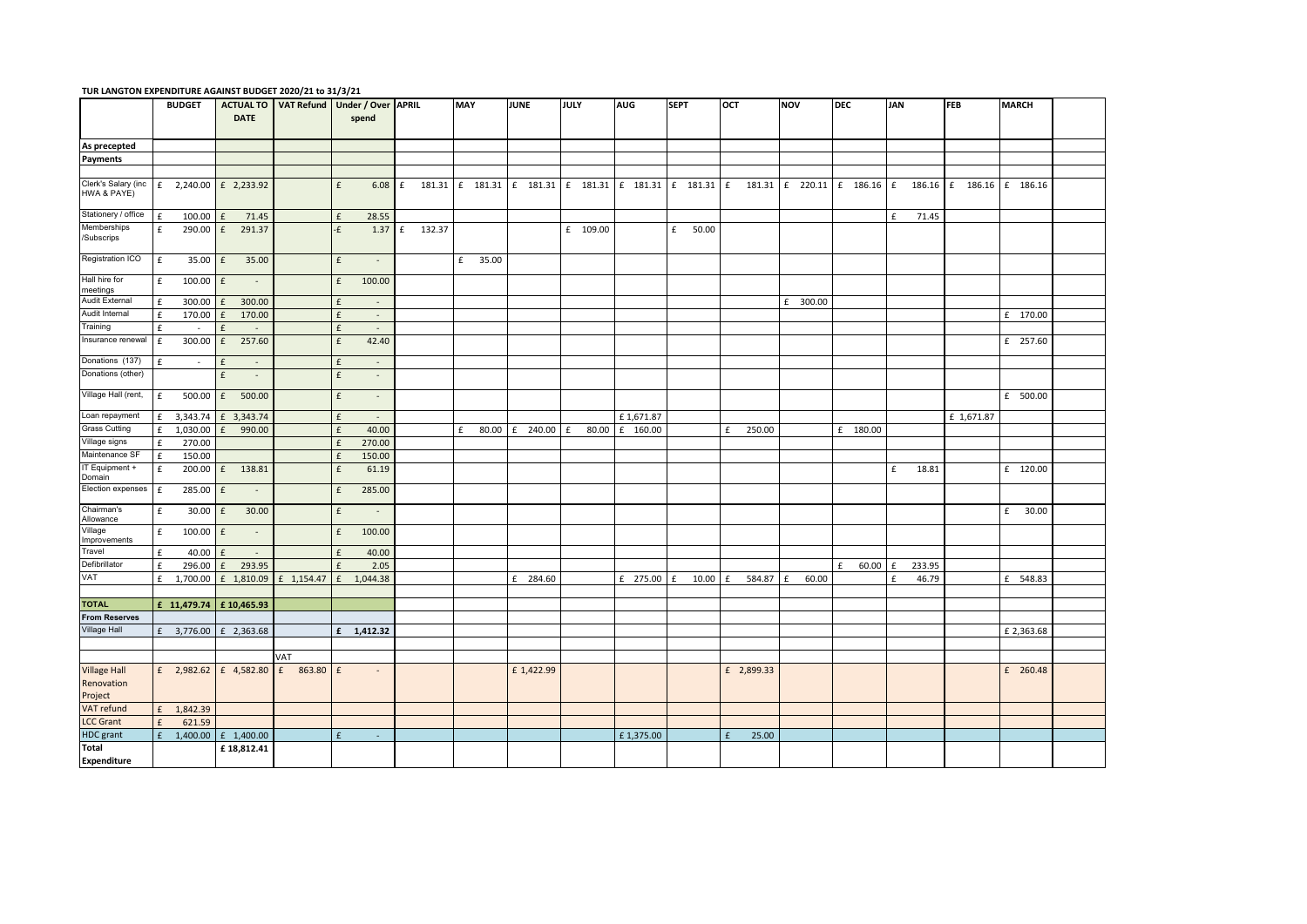|                                    |                    | <b>BUDGET</b> |                              |                                  | ACTUAL TO   VAT Refund   Under / Over   APRIL |               | MAY        | <b>JUNE</b> | JULY       | AUG        | <b>SEPT</b> | OCT                   | <b>NOV</b> | <b>DEC</b> | <b>JAN</b>  | <b>FEB</b>                                                                                                                      | <b>MARCH</b> |
|------------------------------------|--------------------|---------------|------------------------------|----------------------------------|-----------------------------------------------|---------------|------------|-------------|------------|------------|-------------|-----------------------|------------|------------|-------------|---------------------------------------------------------------------------------------------------------------------------------|--------------|
|                                    |                    |               | <b>DATE</b>                  |                                  | spend                                         |               |            |             |            |            |             |                       |            |            |             |                                                                                                                                 |              |
|                                    |                    |               |                              |                                  |                                               |               |            |             |            |            |             |                       |            |            |             |                                                                                                                                 |              |
| As precepted                       |                    |               |                              |                                  |                                               |               |            |             |            |            |             |                       |            |            |             |                                                                                                                                 |              |
| Payments                           |                    |               |                              |                                  |                                               |               |            |             |            |            |             |                       |            |            |             |                                                                                                                                 |              |
|                                    |                    |               |                              |                                  |                                               |               |            |             |            |            |             |                       |            |            |             |                                                                                                                                 |              |
| Clerk's Salary (inc<br>HWA & PAYE) |                    |               | £ 2,240.00 $\bf{f}$ 2,233.92 |                                  | 6.08<br>£                                     | f             |            |             |            |            |             |                       |            |            |             | 181.31   f 181.31   f 181.31   f 181.31   f 181.31   f 181.31   f 181.31   f 220.11   f 186.16   f 186.16   f 186.16   f 186.16 |              |
| Stationery / office                | £                  | 100.00        | 71.45<br>f                   |                                  | 28.55<br>£                                    |               |            |             |            |            |             |                       |            |            | 71.45<br>£  |                                                                                                                                 |              |
| Memberships<br>/Subscrips          | £                  | 290.00        | £ 291.37                     |                                  | $\epsilon$                                    | 1.37 f 132.37 |            |             | £ 109.00   |            | £ 50.00     |                       |            |            |             |                                                                                                                                 |              |
| Registration ICO                   | f                  |               | 35.00 £ 35.00                |                                  | f<br>$\sim$                                   |               | £ 35.00    |             |            |            |             |                       |            |            |             |                                                                                                                                 |              |
| Hall hire for<br>meetings          | £                  | $100.00$ f    | $\sim$                       |                                  | 100.00<br>£                                   |               |            |             |            |            |             |                       |            |            |             |                                                                                                                                 |              |
| Audit External                     | $\pounds$          | 300.00        | 300.00<br>£                  |                                  | £<br>$\sim$                                   |               |            |             |            |            |             |                       | £ 300.00   |            |             |                                                                                                                                 |              |
| Audit Internal                     | £                  | 170.00        | 170.00<br>£                  |                                  | £<br>$\sim$                                   |               |            |             |            |            |             |                       |            |            |             |                                                                                                                                 | £ 170.00     |
| Training                           | $\pounds$          | $\sim$        | t<br>$\sim$                  |                                  | £<br>$\sim$                                   |               |            |             |            |            |             |                       |            |            |             |                                                                                                                                 |              |
| Insurance renewal                  | $\mathbf f$        | 300.00        | 257.60<br>f                  |                                  | $\pmb{\mathsf{f}}$<br>42.40                   |               |            |             |            |            |             |                       |            |            |             |                                                                                                                                 | £ 257.60     |
| Donations (137)                    | £                  | $\sim$        | £<br>$\sim$                  |                                  | £<br>$\sim$                                   |               |            |             |            |            |             |                       |            |            |             |                                                                                                                                 |              |
| Donations (other)                  |                    |               | f<br>$\sim$                  |                                  | £<br>$\sim$                                   |               |            |             |            |            |             |                       |            |            |             |                                                                                                                                 |              |
| Village Hall (rent,                | f                  |               | 500.00 £ 500.00              |                                  | £<br>$\sim$                                   |               |            |             |            |            |             |                       |            |            |             |                                                                                                                                 | £ 500.00     |
| Loan repayment                     | f                  | 3,343.74      | £ 3,343.74                   |                                  | £<br>$\sim$                                   |               |            |             |            | £1,671.87  |             |                       |            |            |             | £ 1,671.87                                                                                                                      |              |
| <b>Grass Cutting</b>               | $\mathbf f$        | 1,030.00      | 990.00<br>f                  |                                  | £<br>40.00                                    |               | f<br>80.00 | £ 240.00    | 80.00<br>f | £ 160.00   |             | £<br>250.00           |            | £ 180.00   |             |                                                                                                                                 |              |
| Village signs                      | $\mathbf f$        | 270.00        |                              |                                  | £<br>270.00                                   |               |            |             |            |            |             |                       |            |            |             |                                                                                                                                 |              |
| Maintenance SF                     | $\epsilon$         | 150.00        |                              |                                  | f<br>150.00                                   |               |            |             |            |            |             |                       |            |            |             |                                                                                                                                 |              |
| IT Equipment +<br>Domain           | $\pmb{\mathsf{f}}$ |               | 200.00 £ 138.81              |                                  | 61.19<br>£                                    |               |            |             |            |            |             |                       |            |            | f<br>18.81  |                                                                                                                                 | £ 120.00     |
| Election expenses                  | £                  | 285.00        | f<br>$\sim$                  |                                  | £<br>285.00                                   |               |            |             |            |            |             |                       |            |            |             |                                                                                                                                 |              |
| Chairman's<br>Allowance            | $\mathbf f$        | 30.00         | 30.00<br>f                   |                                  | £<br>$\sim$                                   |               |            |             |            |            |             |                       |            |            |             |                                                                                                                                 | £ 30.00      |
| Village<br>mprovements             | $\mathbf f$        | $100.00$ f    | $\sim$ 10 $\pm$              |                                  | $\pmb{\mathsf{f}}$<br>100.00                  |               |            |             |            |            |             |                       |            |            |             |                                                                                                                                 |              |
| Travel                             | $\mathbf{f}$       | 40.00         | £<br>$\sim$                  |                                  | 40.00<br>£                                    |               |            |             |            |            |             |                       |            |            |             |                                                                                                                                 |              |
| Defibrillator                      | f                  | 296.00        | 293.95<br>f                  |                                  | £<br>2.05                                     |               |            |             |            |            |             |                       |            | 60.00<br>f | 233.95<br>£ |                                                                                                                                 |              |
| VAT                                | f                  | 1,700.00      | £ 1,810.09                   | £ 1,154.47                       | 1,044.38<br>£                                 |               |            | £ 284.60    |            | £ 275.00 £ | 10.00       | 584.87<br>£           | 60.00<br>£ |            | 46.79<br>£  |                                                                                                                                 | £ 548.83     |
| <b>TOTAL</b>                       |                    |               | £ 11,479.74 £ 10,465.93      |                                  |                                               |               |            |             |            |            |             |                       |            |            |             |                                                                                                                                 |              |
| <b>From Reserves</b>               |                    |               |                              |                                  |                                               |               |            |             |            |            |             |                       |            |            |             |                                                                                                                                 |              |
| Village Hall                       |                    | £ 3,776.00    | £ 2,363.68                   |                                  | £ 1,412.32                                    |               |            |             |            |            |             |                       |            |            |             |                                                                                                                                 | £ 2,363.68   |
|                                    |                    |               |                              |                                  |                                               |               |            |             |            |            |             |                       |            |            |             |                                                                                                                                 |              |
|                                    |                    |               |                              | VAT                              |                                               |               |            |             |            |            |             |                       |            |            |             |                                                                                                                                 |              |
| <b>Village Hall</b><br>Renovation  |                    |               |                              | £ 2,982.62 £ 4,582.80 £ 863.80 £ | $\sim$                                        |               |            | £ 1,422.99  |            |            |             | £ 2,899.33            |            |            |             |                                                                                                                                 | £ 260.48     |
| Project                            |                    |               |                              |                                  |                                               |               |            |             |            |            |             |                       |            |            |             |                                                                                                                                 |              |
| VAT refund                         | f                  | 1,842.39      |                              |                                  |                                               |               |            |             |            |            |             |                       |            |            |             |                                                                                                                                 |              |
| <b>LCC Grant</b>                   | £                  | 621.59        |                              |                                  |                                               |               |            |             |            |            |             |                       |            |            |             |                                                                                                                                 |              |
| HDC grant                          | £                  | 1,400.00      | £ 1,400.00                   |                                  | £<br>$\sim$                                   |               |            |             |            | £1,375.00  |             | 25.00<br>$\mathbf{f}$ |            |            |             |                                                                                                                                 |              |
| Total<br><b>Expenditure</b>        |                    |               | £18,812.41                   |                                  |                                               |               |            |             |            |            |             |                       |            |            |             |                                                                                                                                 |              |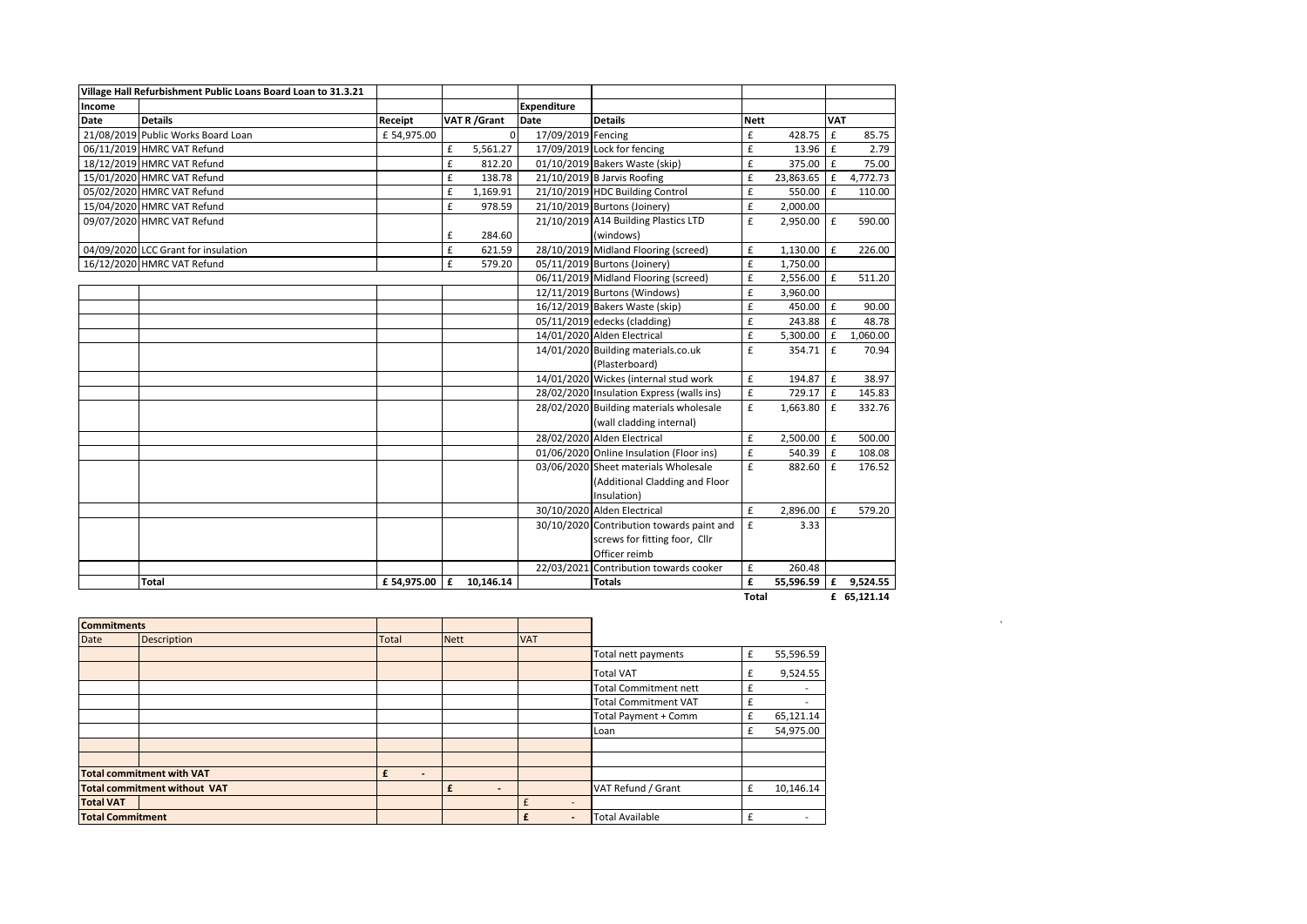|             | Village Hall Refurbishment Public Loans Board Loan to 31.3.21 |             |   |               |                    |                                           |             |              |             |            |
|-------------|---------------------------------------------------------------|-------------|---|---------------|--------------------|-------------------------------------------|-------------|--------------|-------------|------------|
| Income      |                                                               |             |   |               | <b>Expenditure</b> |                                           |             |              |             |            |
| <b>Date</b> | <b>Details</b>                                                | Receipt     |   | VAT R / Grant | <b>Date</b>        | <b>Details</b>                            | <b>Nett</b> |              | <b>VAT</b>  |            |
|             | 21/08/2019 Public Works Board Loan                            | £ 54,975.00 |   | $\Omega$      | 17/09/2019 Fencing |                                           | £           | 428.75       | $\mathbf f$ | 85.75      |
|             | 06/11/2019 HMRC VAT Refund                                    |             | £ | 5,561.27      |                    | 17/09/2019 Lock for fencing               | £           | 13.96        | £           | 2.79       |
|             | 18/12/2019 HMRC VAT Refund                                    |             | £ | 812.20        |                    | 01/10/2019 Bakers Waste (skip)            | £           | 375.00       | f           | 75.00      |
|             | 15/01/2020 HMRC VAT Refund                                    |             | £ | 138.78        |                    | 21/10/2019 B Jarvis Roofing               | £           | 23,863.65    | l £         | 4,772.73   |
|             | 05/02/2020 HMRC VAT Refund                                    |             | £ | 1,169.91      |                    | 21/10/2019 HDC Building Control           | £           | 550.00       | l £         | 110.00     |
|             | 15/04/2020 HMRC VAT Refund                                    |             | £ | 978.59        |                    | 21/10/2019 Burtons (Joinery)              | £           | 2,000.00     |             |            |
|             | 09/07/2020 HMRC VAT Refund                                    |             |   |               |                    | 21/10/2019 A14 Building Plastics LTD      | £           | 2,950.00 £   |             | 590.00     |
|             |                                                               |             | £ | 284.60        |                    | (windows)                                 |             |              |             |            |
|             | 04/09/2020 LCC Grant for insulation                           |             | £ | 621.59        |                    | 28/10/2019 Midland Flooring (screed)      | £           | 1,130.00     | l £         | 226.00     |
|             | 16/12/2020 HMRC VAT Refund                                    |             | £ | 579.20        |                    | 05/11/2019 Burtons (Joinery)              | £           | 1,750.00     |             |            |
|             |                                                               |             |   |               |                    | 06/11/2019 Midland Flooring (screed)      | £           | 2,556.00     | l £         | 511.20     |
|             |                                                               |             |   |               |                    | 12/11/2019 Burtons (Windows)              | £           | 3,960.00     |             |            |
|             |                                                               |             |   |               |                    | 16/12/2019 Bakers Waste (skip)            | £           | 450.00 £     |             | 90.00      |
|             |                                                               |             |   |               |                    | 05/11/2019 edecks (cladding)              | £           | 243.88       | Ι£          | 48.78      |
|             |                                                               |             |   |               |                    | 14/01/2020 Alden Electrical               | £           | $5,300.00$ £ |             | 1,060.00   |
|             |                                                               |             |   |               |                    | 14/01/2020 Building materials.co.uk       | £           | 354.71       | l £         | 70.94      |
|             |                                                               |             |   |               |                    | (Plasterboard)                            |             |              |             |            |
|             |                                                               |             |   |               |                    | 14/01/2020 Wickes (internal stud work     | £           | 194.87       | l £         | 38.97      |
|             |                                                               |             |   |               |                    | 28/02/2020 Insulation Express (walls ins) | £           | 729.17 E     |             | 145.83     |
|             |                                                               |             |   |               |                    | 28/02/2020 Building materials wholesale   | £           | $1,663.80$ £ |             | 332.76     |
|             |                                                               |             |   |               |                    | (wall cladding internal)                  |             |              |             |            |
|             |                                                               |             |   |               |                    | 28/02/2020 Alden Electrical               | £           | $2,500.00$ £ |             | 500.00     |
|             |                                                               |             |   |               |                    | 01/06/2020 Online Insulation (Floor ins)  | £           | $540.39$ $E$ |             | 108.08     |
|             |                                                               |             |   |               |                    | 03/06/2020 Sheet materials Wholesale      | £           | 882.60 E     |             | 176.52     |
|             |                                                               |             |   |               |                    | (Additional Cladding and Floor            |             |              |             |            |
|             |                                                               |             |   |               |                    | Insulation)                               |             |              |             |            |
|             |                                                               |             |   |               |                    | 30/10/2020 Alden Electrical               | £           | 2,896.00 £   |             | 579.20     |
|             |                                                               |             |   |               |                    | 30/10/2020 Contribution towards paint and | £           | 3.33         |             |            |
|             |                                                               |             |   |               |                    | screws for fitting foor, Cllr             |             |              |             |            |
|             |                                                               |             |   |               |                    | Officer reimb                             |             |              |             |            |
|             |                                                               |             |   |               |                    | 22/03/2021 Contribution towards cooker    | £           | 260.48       |             |            |
|             | <b>Total</b>                                                  | £ 54,975.00 | £ | 10,146.14     |                    | <b>Totals</b>                             | £           | 55,596.59    |             | £ 9,524.55 |

| <b>Commitments</b>      |                                     |                          |                          |                          |                              |   |           |
|-------------------------|-------------------------------------|--------------------------|--------------------------|--------------------------|------------------------------|---|-----------|
| Date                    | Description                         | <b>Total</b>             | <b>Nett</b>              | <b>VAT</b>               |                              |   |           |
|                         |                                     |                          |                          |                          | Total nett payments          | £ | 55,596.59 |
|                         |                                     |                          |                          |                          | Total VAT                    | £ | 9,524.55  |
|                         |                                     |                          |                          |                          | <b>Total Commitment nett</b> | £ | $\sim$    |
|                         |                                     |                          |                          |                          | <b>Total Commitment VAT</b>  |   |           |
|                         |                                     |                          |                          |                          | Total Payment + Comm         | £ | 65,121.14 |
|                         |                                     |                          |                          |                          | Loan                         | £ | 54,975.00 |
|                         |                                     |                          |                          |                          |                              |   |           |
|                         |                                     |                          |                          |                          |                              |   |           |
|                         | <b>Total commitment with VAT</b>    | $\overline{\phantom{0}}$ |                          |                          |                              |   |           |
|                         | <b>Total commitment without VAT</b> |                          | $\overline{\phantom{a}}$ |                          | VAT Refund / Grant           | £ | 10,146.14 |
| <b>Total VAT</b>        |                                     |                          |                          | $\overline{\phantom{a}}$ |                              |   |           |
| <b>Total Commitment</b> |                                     |                          |                          | $\overline{a}$           | <b>Total Available</b>       |   | $\sim$    |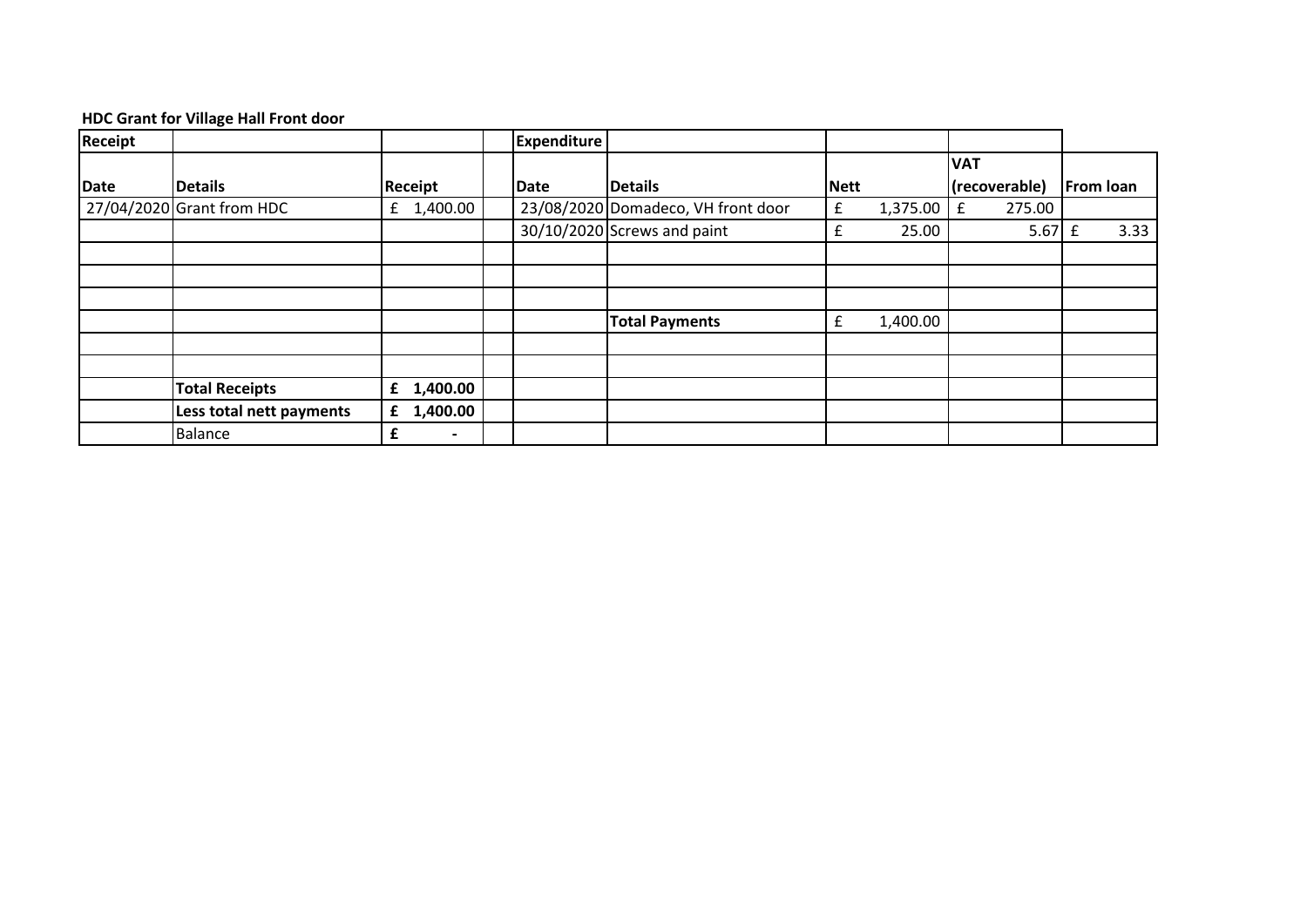## **HDC Grant for Village Hall Front door**

| Receipt     |                             |                     | <b>Expenditure</b> |                                    |             |          |                  |                  |
|-------------|-----------------------------|---------------------|--------------------|------------------------------------|-------------|----------|------------------|------------------|
|             |                             |                     |                    |                                    |             |          | <b>VAT</b>       |                  |
| <b>Date</b> | <b>Details</b>              | Receipt             | Date               | <b>Details</b>                     | Nett        |          | (recoverable)    | <b>From loan</b> |
|             | $27/04/2020$ Grant from HDC | £ 1,400.00          |                    | 23/08/2020 Domadeco, VH front door | £           | 1,375.00 | 275.00<br>£      |                  |
|             |                             |                     |                    | 30/10/2020 Screws and paint        | £           | 25.00    | $5.67 \text{ f}$ | 3.33             |
|             |                             |                     |                    |                                    |             |          |                  |                  |
|             |                             |                     |                    |                                    |             |          |                  |                  |
|             |                             |                     |                    |                                    |             |          |                  |                  |
|             |                             |                     |                    | <b>Total Payments</b>              | $\mathbf f$ | 1,400.00 |                  |                  |
|             |                             |                     |                    |                                    |             |          |                  |                  |
|             |                             |                     |                    |                                    |             |          |                  |                  |
|             | <b>Total Receipts</b>       | $f$ 1,400.00        |                    |                                    |             |          |                  |                  |
|             | Less total nett payments    | $f$ 1,400.00        |                    |                                    |             |          |                  |                  |
|             | <b>Balance</b>              | £<br>$\blacksquare$ |                    |                                    |             |          |                  |                  |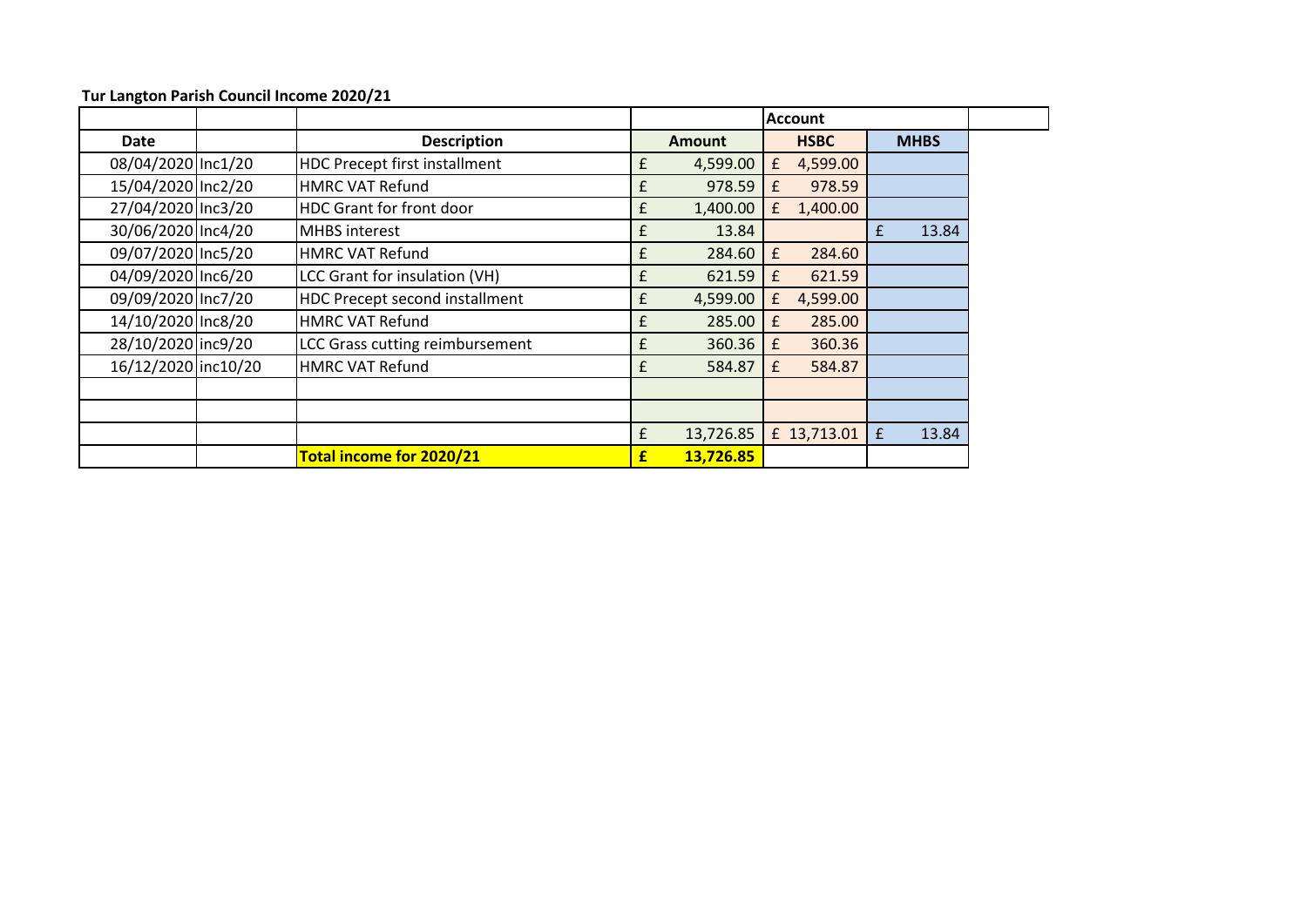|                     |                                       |   |               |   | <b>Account</b> |   |             |
|---------------------|---------------------------------------|---|---------------|---|----------------|---|-------------|
| <b>Date</b>         | <b>Description</b>                    |   | <b>Amount</b> |   | <b>HSBC</b>    |   | <b>MHBS</b> |
| 08/04/2020 Inc1/20  | <b>HDC Precept first installment</b>  | £ | 4,599.00      | £ | 4,599.00       |   |             |
| 15/04/2020 Inc2/20  | <b>HMRC VAT Refund</b>                | £ | 978.59        | £ | 978.59         |   |             |
| 27/04/2020 Inc3/20  | <b>HDC Grant for front door</b>       | £ | 1,400.00      | £ | 1,400.00       |   |             |
| 30/06/2020 Inc4/20  | <b>MHBS</b> interest                  | £ | 13.84         |   |                | £ | 13.84       |
| 09/07/2020 Inc5/20  | <b>HMRC VAT Refund</b>                | £ | 284.60        | £ | 284.60         |   |             |
| 04/09/2020 Inc6/20  | LCC Grant for insulation (VH)         | £ | 621.59        | £ | 621.59         |   |             |
| 09/09/2020 Inc7/20  | <b>HDC Precept second installment</b> | £ | 4,599.00      | £ | 4,599.00       |   |             |
| 14/10/2020 Inc8/20  | <b>HMRC VAT Refund</b>                | £ | 285.00        | £ | 285.00         |   |             |
| 28/10/2020 inc9/20  | LCC Grass cutting reimbursement       | £ | 360.36        | £ | 360.36         |   |             |
| 16/12/2020 inc10/20 | <b>HMRC VAT Refund</b>                | £ | 584.87        | £ | 584.87         |   |             |
|                     |                                       |   |               |   |                |   |             |
|                     |                                       |   |               |   |                |   |             |
|                     |                                       | £ | 13,726.85     |   | £ 13,713.01    | £ | 13.84       |
|                     | Total income for 2020/21              | £ | 13,726.85     |   |                |   |             |

**Tur Langton Parish Council Income 2020/21**